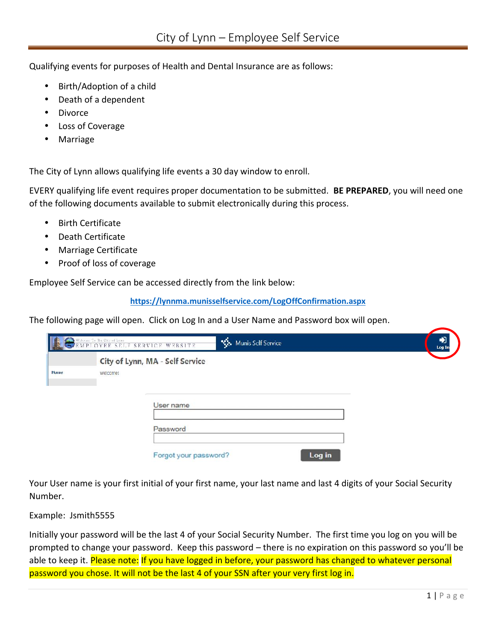Qualifying events for purposes of Health and Dental Insurance are as follows:

- Birth/Adoption of a child
- Death of a dependent
- Divorce
- Loss of Coverage
- Marriage

The City of Lynn allows qualifying life events a 30 day window to enroll.

EVERY qualifying life event requires proper documentation to be submitted. **BE PREPARED**, you will need one of the following documents available to submit electronically during this process.

- Birth Certificate
- Death Certificate
- Marriage Certificate
- ) Proof of loss of coverage

Employee Self Service can be accessed directly from the link below:

**https://lynnma.munisselfservice.com/LogOffConfirmation.aspx**

The following page will open. Click on Log In and a User Name and Password box will open.

|      |          | <b>EXECUTE SET AND SERVICE WEBSITE</b><br><b>No.</b> Munis Self Service | Log In |
|------|----------|-------------------------------------------------------------------------|--------|
|      |          | City of Lynn, MA - Self Service                                         |        |
| Home | welcome! |                                                                         |        |
|      |          |                                                                         |        |
|      |          |                                                                         |        |
|      |          | User name                                                               |        |
|      |          |                                                                         |        |
|      |          |                                                                         |        |
|      |          | Password                                                                |        |
|      |          |                                                                         |        |
|      |          |                                                                         |        |
|      |          |                                                                         |        |

Your User name is your first initial of your first name, your last name and last 4 digits of your Social Security Number.

Example: Jsmith5555

v**you'll be<br><mark>rsonal</mark><br>1 |** P a g e Initially your password will be the last 4 of your Social Security Number. The first time you log on you will be prompted to change your password. Keep this password – there is no expiration on this password so you'll be able to keep it. Please note: If you have logged in before, your password has changed to whatever personal password you chose. It will not be the last 4 of your SSN after your very first log in.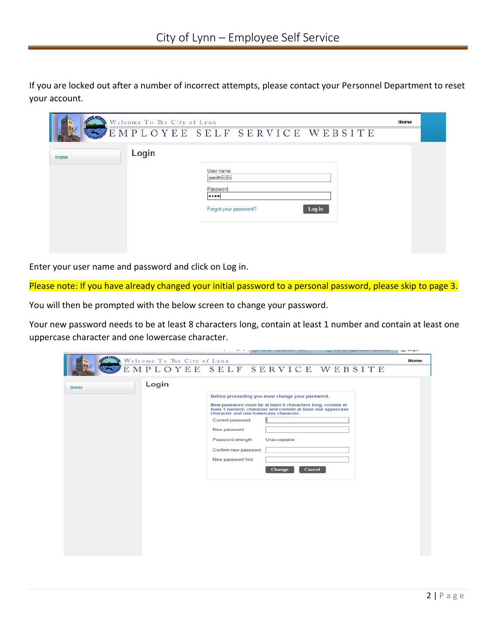If you are locked out after a number of incorrect attempts, please contact your Personnel Department to reset your account.

|      | Welcome To The City of Lynn |                                     | Home |  |
|------|-----------------------------|-------------------------------------|------|--|
|      |                             | EMPLOYEE SELF SERVICE WEBSITE       |      |  |
| Home | Login                       |                                     |      |  |
|      |                             | User name<br>jsmith5555             |      |  |
|      |                             | Password                            |      |  |
|      |                             | <br>Log in<br>Forgot your password? |      |  |
|      |                             |                                     |      |  |
|      |                             |                                     |      |  |
|      |                             |                                     |      |  |

Enter your user name and password and click on Log in.

Please note: If you have already changed your initial password to a personal password, please skip to page 3.

You will then be prompted with the below screen to change your password.

Your new password needs to be at least 8 characters long, contain at least 1 number and contain at least one uppercase character and one lowercase character.

|      |                             |                                                                                                                                                                                                                                                                                                                                 | and a lot of the state where the most | <b>Contract and unbilistenzions memorians</b> | $s = -y$ |
|------|-----------------------------|---------------------------------------------------------------------------------------------------------------------------------------------------------------------------------------------------------------------------------------------------------------------------------------------------------------------------------|---------------------------------------|-----------------------------------------------|----------|
|      | Welcome To The City of Lynn |                                                                                                                                                                                                                                                                                                                                 |                                       | EMPLOYEE SELF SERVICE WEBSITE                 | Home     |
| Home | Login                       | Before proceeding you must change your password.<br>New password must be at least 8 characters long, contain at<br>least 1 numeric character and contain at least one uppercase<br>character and one lowercase character.<br>Current password<br>New password<br>Password strength<br>Confirm new password<br>New password hint | Unacceptable<br>Cancel<br>Change      |                                               |          |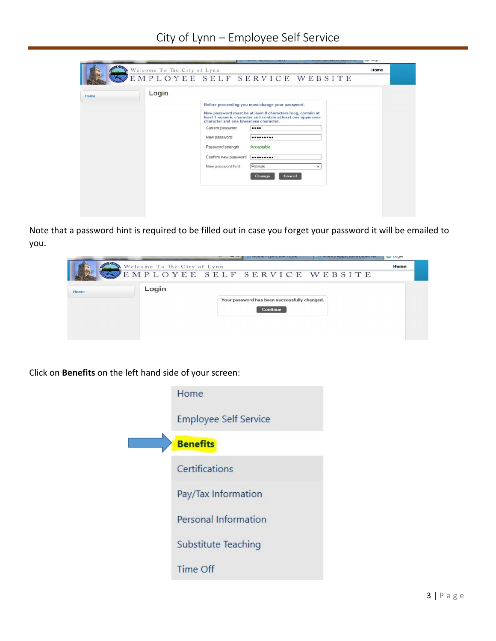|      |       |                                                                                                                                              |                                                                                                                                                                                                                                                         | Senior Services |
|------|-------|----------------------------------------------------------------------------------------------------------------------------------------------|---------------------------------------------------------------------------------------------------------------------------------------------------------------------------------------------------------------------------------------------------------|-----------------|
|      |       |                                                                                                                                              | $\frac{ {\rm Welcome~To~The~City~of~Lynn} } { {\rm E~M~P~L~O~Y~E~E~~S~E~L~F ~~S~E~R~V~I~C~E ~~W~E~B~S~I~T~E} }$                                                                                                                                         | Home            |
| Home | Login | character and one lowercase character.<br>Current password<br>New password<br>Password strength<br>Confirm new password<br>New password hint | Before proceeding you must change your password.<br>New password must be at least 8 characters long, contain at<br>least 1 numeric character and contain at least one uppercase<br><br><br>Acceptable<br><br>Patriots<br>$_{\rm x}$<br>Cancel<br>Change |                 |

Note that a password hint is required to be filled out in case you forget your password it will be emailed to you.



Click on **Benefits** on the left hand side of your screen:

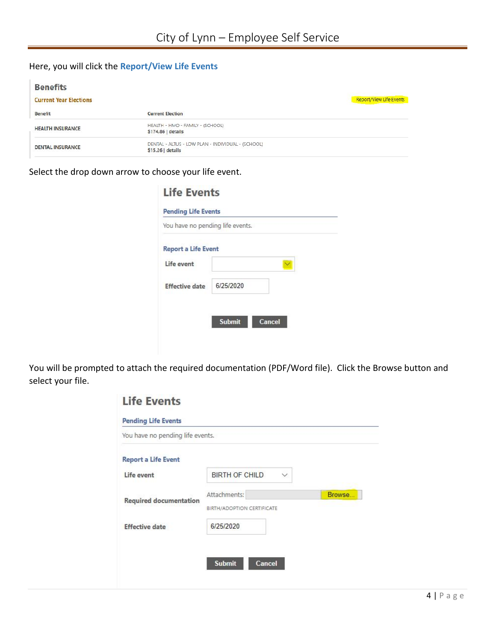## Here, you will click the **Report/View Life Events**

| <b>Benefits</b>               |                                                                        |                         |
|-------------------------------|------------------------------------------------------------------------|-------------------------|
| <b>Current Year Elections</b> |                                                                        | Report/View Life Events |
| <b>Benefit</b>                | <b>Current Election</b>                                                |                         |
| <b>HEALTH INSURANCE</b>       | HEALTH - HMO - FAMILY - (SCHOOL)<br>\$174.86   details                 |                         |
| <b>DENTAL INSURANCE</b>       | DENTAL - ALTUS - LOW PLAN - INDIVIDUAL - (SCHOOL)<br>\$15.26   details |                         |

## Select the drop down arrow to choose your life event.

|                            | You have no pending life events. |  |
|----------------------------|----------------------------------|--|
| <b>Report a Life Event</b> |                                  |  |
| Life event                 |                                  |  |
| <b>Effective date</b>      | 6/25/2020                        |  |

You will be prompted to attach the required documentation (PDF/Word file). Click the Browse button and select your file.

| You have no pending life events. |                                       |        |
|----------------------------------|---------------------------------------|--------|
| <b>Report a Life Event</b>       |                                       |        |
| Life event                       | $\checkmark$<br><b>BIRTH OF CHILD</b> |        |
| <b>Required documentation</b>    | Attachments:                          | Browse |
|                                  | <b>BIRTH/ADOPTION CERTIFICATE</b>     |        |
| <b>Effective date</b>            | 6/25/2020                             |        |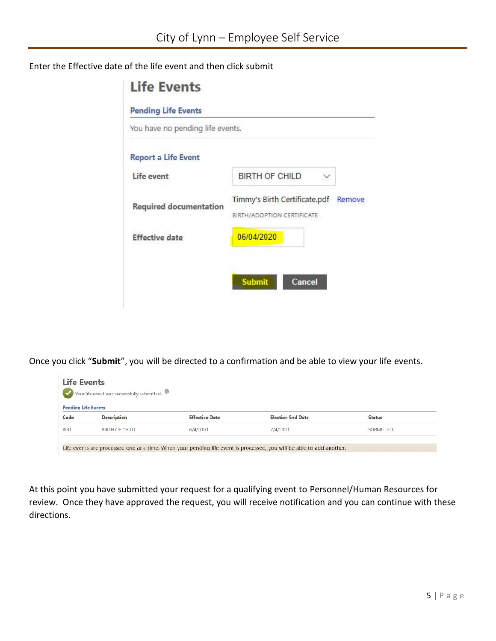## Enter the Effective date of the life event and then click submit

| Timmy's Birth Certificate.pdf<br>Remove |
|-----------------------------------------|
|                                         |
|                                         |

Once you click "**Submit**", you will be directed to a confirmation and be able to view your life events.

| <b>Pending Life Events</b> |               |                       |                          |                  |
|----------------------------|---------------|-----------------------|--------------------------|------------------|
| Code                       | Description   | <b>Effective Date</b> | <b>Election End Date</b> | <b>Status</b>    |
| <b>BIRT</b>                | BIRTH OF CHID | 6/4/2020              | 7/4/2020                 | <b>SURMITTED</b> |

At this point you have submitted your request for a qualifying event to Personnel/Human Resources for review. Once they have approved the request, you will receive notification and you can continue with these directions.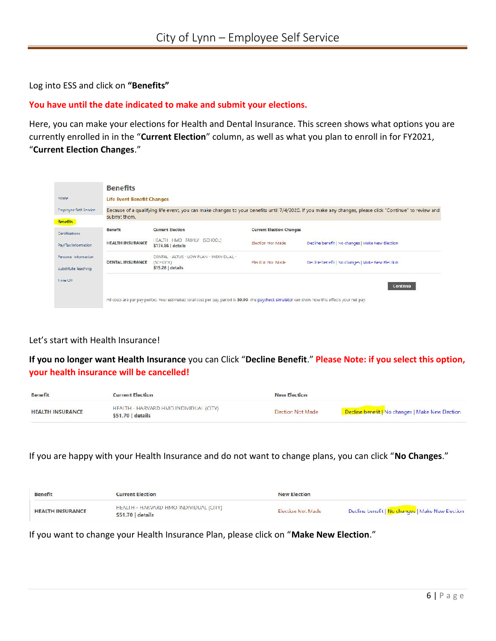Log into ESS and click on **"Benefits"**

### **You have until the date indicated to make and submit your elections.**

Here, you can make your elections for Health and Dental Insurance. This screen shows what options you are currently enrolled in in the "**Current Election**" column, as well as what you plan to enroll in for FY2021, "**Current Election Changes**."

|                                             | <b>Benefits</b>                   |                                                                                                                                                  |                                 |                                                                                                                                                          |
|---------------------------------------------|-----------------------------------|--------------------------------------------------------------------------------------------------------------------------------------------------|---------------------------------|----------------------------------------------------------------------------------------------------------------------------------------------------------|
| Home                                        | <b>Life Event Benefit Changes</b> |                                                                                                                                                  |                                 |                                                                                                                                                          |
| Employee Self Service                       |                                   |                                                                                                                                                  |                                 | Because of a qualifying life event, you can make changes to your benefits until 7/4/2020. If you make any changes, please click "Continue" to review and |
| <b>Benefits</b>                             | submit them.                      |                                                                                                                                                  |                                 |                                                                                                                                                          |
| Certifications                              | Benefit                           | <b>Current Election</b>                                                                                                                          | <b>Current Election Changes</b> |                                                                                                                                                          |
| Pay/Tax Information                         | <b>HEALTH INSURANCE</b>           | ILALTII IIMO FAMILY (SCHOOL)<br>$$174.86$ details                                                                                                | Election Not Made               | Decline benefit   No changes   Make New Election                                                                                                         |
| Personal Information<br>Substitute leaching | <b>DENTAL INSURANCE</b>           | DENTAL - ALTUS - LOW PLAN - INDIVIDUAL -<br>$(SC=OO1)$<br>$$15.26$ details                                                                       | Flection Not Made               | Decline benefit   No changes   Make New Election                                                                                                         |
| 1 me Utt                                    |                                   |                                                                                                                                                  |                                 | <b>Continue</b>                                                                                                                                          |
|                                             |                                   | All costs are per pay period. Your estimated total cost per pay period is \$0.00. The paycheck simulator can show how this effects your net pay. |                                 |                                                                                                                                                          |

### Let's start with Health Insurance!

**If you no longer want Health Insurance** you can Click "**Decline Benefit**." **Please Note: if you select this option, your health insurance will be cancelled!**

| <b>Benefit</b>          | <b>Current Election</b>                                     | <b>New Election</b>      |                                                  |
|-------------------------|-------------------------------------------------------------|--------------------------|--------------------------------------------------|
| <b>HEALTH INSURANCE</b> | HEAITH - HARVARD HMO INDIVIDUAL (CITY)<br>\$51.70   details | <b>Election Not Made</b> | Decline benefit   No changes   Make New Election |

If you are happy with your Health Insurance and do not want to change plans, you can click "**No Changes**."

| <b>Benefit</b>          | <b>Current Election</b>                                    | <b>New Election</b>      |                                                  |
|-------------------------|------------------------------------------------------------|--------------------------|--------------------------------------------------|
| <b>HEALTH INSURANCE</b> | HEALTH - HARVARD HMO INDIVIDUAL (CITY)<br>$$51.70$ details | <b>Election Not Made</b> | Decline benefit   No changes   Make New Election |

If you want to change your Health Insurance Plan, please click on "**Make New Election**."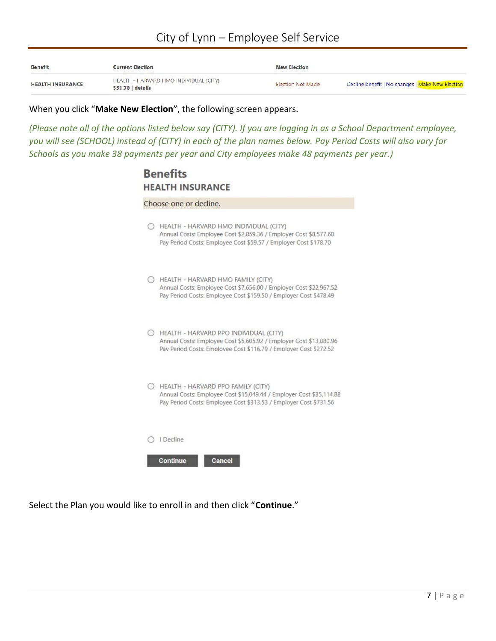# **City of Lynn – Employee Self Service**

| <b>Benefit</b>          | <b>Current Election</b>                                   | <b>New Election</b>      |                                                  |
|-------------------------|-----------------------------------------------------------|--------------------------|--------------------------------------------------|
| <b>HEALTH INSURANCE</b> | HEALTH - HARVARD HMO INDIVIDUAL (CITY)<br>\$51.70 details | <b>Election Not Made</b> | Decline benefit   No changes   Make New Election |

When you click "**Make New Election**", the following screen appears.

*(Please note all of the options listed below say (CITY). If you are logging in as a School Department employee, you will see (SCHOOL) instead of (CITY) in each of the plan names below. Pay Period Costs will also vary for Schools as you make 38 payments per year and City employees make 48 payments per year.)*

# **Benefits HEALTH INSURANCE**

| Choose one or decline.                                                                                                                                                            |
|-----------------------------------------------------------------------------------------------------------------------------------------------------------------------------------|
| HEALTH - HARVARD HMO INDIVIDUAL (CITY)<br>Annual Costs: Employee Cost \$2,859.36 / Employer Cost \$8,577.60<br>Pay Period Costs: Employee Cost \$59.57 / Employer Cost \$178.70   |
| HEALTH - HARVARD HMO FAMILY (CITY)<br>Annual Costs: Employee Cost \$7,656.00 / Employer Cost \$22,967.52<br>Pay Period Costs: Employee Cost \$159.50 / Employer Cost \$478.49     |
| HEALTH - HARVARD PPO INDIVIDUAL (CITY)<br>Annual Costs: Employee Cost \$5,605.92 / Employer Cost \$13,080.96<br>Pav Period Costs: Employee Cost \$116.79 / Employer Cost \$272.52 |
| HEALTH - HARVARD PPO FAMILY (CITY)<br>Annual Costs: Employee Cost \$15,049.44 / Employer Cost \$35,114.88<br>Pay Period Costs: Employee Cost \$313.53 / Employer Cost \$731.56    |
| I Decline                                                                                                                                                                         |
| <b>Continue</b><br>Cancel                                                                                                                                                         |

Select the Plan you would like to enroll in and then click "**Continue**."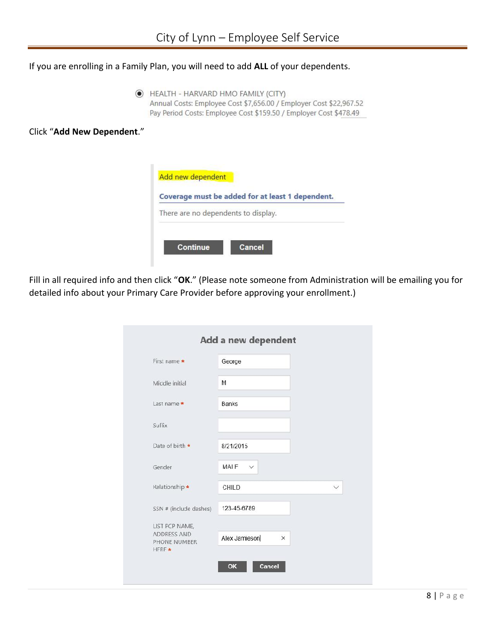If you are enrolling in a Family Plan, you will need to add **ALL** of your dependents.

HEALTH - HARVARD HMO FAMILY (CITY) Annual Costs: Employee Cost \$7,656.00 / Employer Cost \$22,967.52 Pay Period Costs: Employee Cost \$159.50 / Employer Cost \$478.49

Click "**Add New Dependent**."



Fill in all required info and then click "**OK**." (Please note someone from Administration will be emailing you for detailed info about your Primary Care Provider before approving your enrollment.)

| First name *                                   | George                    |              |
|------------------------------------------------|---------------------------|--------------|
| Middle initial                                 | M                         |              |
| Last name *                                    | <b>Banks</b>              |              |
| Suffix                                         |                           |              |
| Date of birth *                                | 8/21/2015                 |              |
| Gender                                         | MAIF $\vee$               |              |
| <b>Kelationship *</b>                          | <b>CHILD</b>              | $\checkmark$ |
| SSN # (include dashes)                         | 123-45-6789               |              |
| LIST PCP NAME,                                 |                           |              |
| <b>ADDRESS AND</b><br>PHONE NUMBER<br>$HFRF$ * | Alex Jamieson<br>$\times$ |              |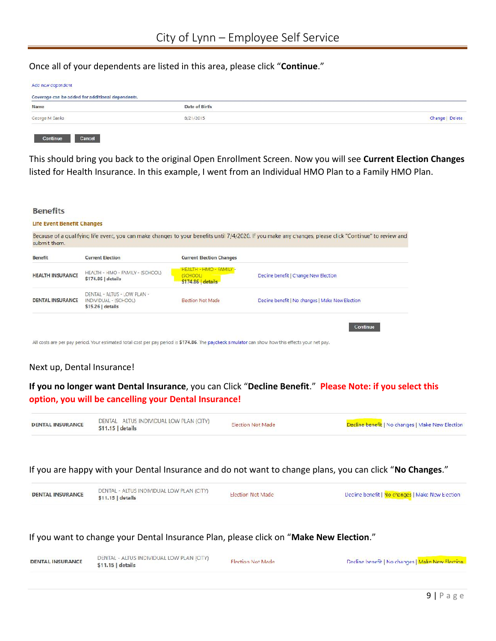Once all of your dependents are listed in this area, please click "**Continue**."

| Coverage can be added for additional dependents. |               |                 |  |
|--------------------------------------------------|---------------|-----------------|--|
| Name                                             | Date of Birth |                 |  |
| George M Banks                                   | 8/21/2015     | Change   Delete |  |

This should bring you back to the original Open Enrollment Screen. Now you will see **Current Election Changes** listed for Health Insurance. In this example, I went from an Individual HMO Plan to a Family HMO Plan.



All costs are per pay period. Your estimated total cost per pay period is \$174.86. The paycheck simulator can show how this effects your net pay.

### Next up, Dental Insurance!

**If you no longer want Dental Insurance**, you can Click "**Decline Benefit**." **Please Note: if you select this option, you will be cancelling your Dental Insurance!**

| <b>DENTAL INSURANCE</b> | DENTAL ALTUS INDIVIDUAL LOW PLAN (CITY)<br>$$11.15$ details | <b>Election Not Made</b> | Decline benefit   No changes   Make New Election |
|-------------------------|-------------------------------------------------------------|--------------------------|--------------------------------------------------|
|-------------------------|-------------------------------------------------------------|--------------------------|--------------------------------------------------|

### If you are happy with your Dental Insurance and do not want to change plans, you can click "**No Changes**."

| <b>DENTAL INSURANCE</b><br>$$11.15$ details | DENTAL - ALTUS INDIVIDUAL LOW PLAN (CITY)<br><b>Election Not Made</b> | Decline benefit   No changes   Make New Election |
|---------------------------------------------|-----------------------------------------------------------------------|--------------------------------------------------|
|---------------------------------------------|-----------------------------------------------------------------------|--------------------------------------------------|

If you want to change your Dental Insurance Plan, please click on "**Make New Election**."

| <b>DENTAL INSURANCE</b> | DENTAL - ALTUS INDIVIDUAL LOW PLAN (CITY)<br>\$11.15   details | Flection Not Made | Decline benefit   No changes   Make New Flection |
|-------------------------|----------------------------------------------------------------|-------------------|--------------------------------------------------|
|                         |                                                                |                   | $9   P \text{age}$                               |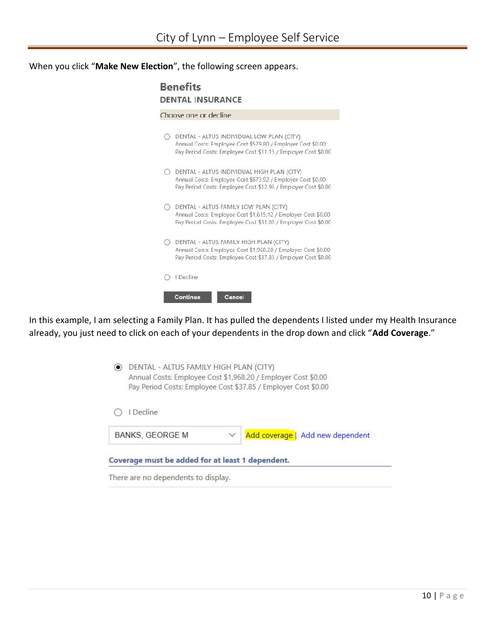When you click "**Make New Election**", the following screen appears.

|            | Choose one or decline                                                                                                                                                       |
|------------|-----------------------------------------------------------------------------------------------------------------------------------------------------------------------------|
|            | DENTAL - ALTUS INDIVIDUAL LOW PLAN (CITY)<br>Annual Costs: Employee Cost \$579.80 / Employer Cost \$0.00<br>Pay Period Costs: Employee Cost \$11.15 / Employer Cost \$0.00  |
| $\bigcirc$ | DENTAL - ALTUS INDIVIDUAL HIGH PLAN (CITY)<br>Annual Costs: Employee Cost \$673.92 / Employer Cost \$0.00<br>Pay Period Costs: Employee Cost \$12.96 / Employer Cost \$0.00 |
|            | DENTAL - ALTUS FAMILY LOW PLAN (CITY)<br>Annual Costs: Employee Cost \$1,615.12 / Employer Cost \$0.00<br>Pay Period Costs: Employee Cost \$31.06 / Employer Cost \$0.00    |
|            | DENTAL - ALTUS FAMILY HIGH PLAN (CITY)<br>Annual Costs: Employee Cost \$1,968.20 / Employer Cost \$0.00<br>Pay Period Costs: Employee Cost \$37.85 / Employer Cost \$0.00   |
|            | I Decline                                                                                                                                                                   |

In this example, I am selecting a Family Plan. It has pulled the dependents I listed under my Health Insurance already, you just need to click on each of your dependents in the drop down and click "**Add Coverage**."

| Coverage must be added for at least 1 dependent.                                                                                                                          |  |                                  |
|---------------------------------------------------------------------------------------------------------------------------------------------------------------------------|--|----------------------------------|
| I Decline<br><b>BANKS, GEORGE M</b>                                                                                                                                       |  | Add coverage   Add new dependent |
| DENTAL - ALTUS FAMILY HIGH PLAN (CITY)<br>Annual Costs: Employee Cost \$1,968.20 / Employer Cost \$0.00<br>Pay Period Costs: Employee Cost \$37.85 / Employer Cost \$0.00 |  |                                  |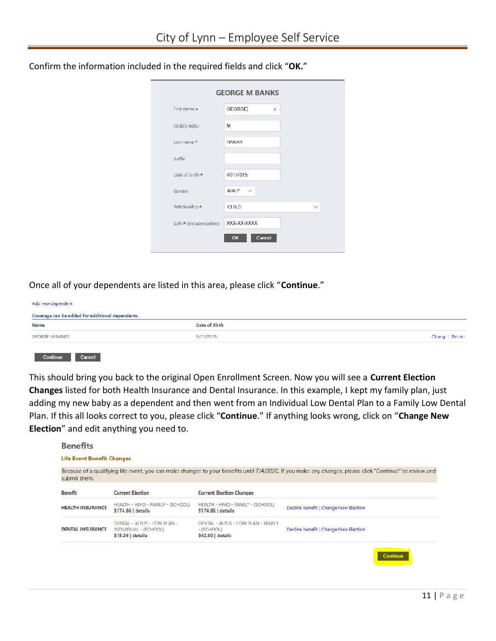| First name *           | <b>GEORGE</b>     | × |   |
|------------------------|-------------------|---|---|
| Middle initial         | M                 |   |   |
| Last name *            | <b>HANKS</b>      |   |   |
| Suffix                 |                   |   |   |
| Date of birth *        | 8/21/2015         |   |   |
| Gender                 | $MAIF \quad \lor$ |   |   |
| Relationship *         | <b>CHILD</b>      |   | V |
| SSN # (include dashes) | XXX-XX-XXXX       |   |   |

Confirm the information included in the required fields and click "**OK.**"

Once all of your dependents are listed in this area, please click "**Continue**."

| Add new dependent<br>Coverage can be added for additional dependents. |               |                 |
|-----------------------------------------------------------------------|---------------|-----------------|
| Name                                                                  | Date of Birth |                 |
| <b>GEORGE M BANKS</b>                                                 | 8/21/2015     | Change   Delete |
|                                                                       |               |                 |

This should bring you back to the original Open Enrollment Screen. Now you will see a **Current Election Changes** listed for both Health Insurance and Dental Insurance. In this example, I kept my family plan, just adding my new baby as a dependent and then went from an Individual Low Dental Plan to a Family Low Dental Plan. If this all looks correct to you, please click "**Continue**." If anything looks wrong, click on "**Change New Election**" and edit anything you need to.

#### **Benefits**

#### **Life Event Benefit Changes**

| submit them.            |                                                                          |                                                                       |                                       |  |
|-------------------------|--------------------------------------------------------------------------|-----------------------------------------------------------------------|---------------------------------------|--|
| <b>Benefit</b>          | <b>Current Election</b>                                                  | <b>Current Election Changes</b>                                       |                                       |  |
| <b>HEALTH INSURANCE</b> | HEALTH - HIVO - FAMILY - (SCHOOL)<br>\$174,86   details                  | HEALTH - HMO - FAMILY - (SCHOOL)<br>\$174.86   details                | Decline benefit   Change New Election |  |
| <b>DENTAL INSURANCE</b> | DENTAL - ALTUS - LOW PLAN -<br>INDIVIDUAL - (SCHOOL)<br>$$15.26$ details | DENTAL - ALTUS - LOW PLAN - FAMILY<br>$-(SCHOOL)$<br>$$42.50$ details | Decline benefit   Change New Election |  |